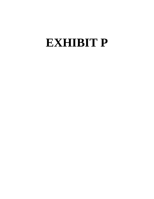# **EXHIBIT P**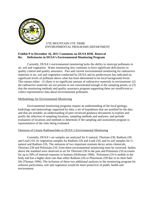

# UTE MOUNTAIN UTE TRIBE ENVIRONMENTAL PROGRAMS DEPARTMENT

# **Exhibit P to December 16, 2011 Comments on DUSA RML Renewal Re: Deficiencies in DUSA's Environmental Monitoring Program**

Currently, DUSA's environmental monitoring lacks the ability to intercept pollutants in air, soil and vegetation. Water monitoring also continues to have significant deficiencies in quality control and quality assurance. Past and current environmental monitoring for radioactive materials in air, soil and vegetation conducted by DUSA and its predecessors has indicated no significant levels of pollutant above what has been determined to be local background levels. This means either: (1) there is no significant amount of radioactive materials in environment; (2) the radioactive materials are not present or not concentrated enough at the sampling points; or (3) that the monitoring methods and quality assurance program supporting them are insufficient to collect representative data about environmental pollutants.

# Methodology for Environmental Monitoring

Environmental monitoring programs require an understanding of the local geology, hydrology and meteorology supported by data; a set of hypotheses that are justified by the data and that are testable; an understanding of peer-reviewed guidance documents to explore and justify the selection of sampling locations, sampling methods and analyses; and periodic evaluation of locations and methods to determine if the sampling and assessment program is representative of the risks being evaluated.

# Omission of Certain Radionuclides in DUSA's Environmental Monitoring

Currently, DUSA's air samples are analyzed for U-natural, Thorium-230, Radium-226 and Lead-210, its vegetation samples for Radium-226 and Lead-210, and its soil samples for Unatural and Radium-226. The omission of two important uranium decay series chemicals, Thorium-230 and Polonium-210, from these environmental monitoring must be corrected. Spikes above the standard were observed in air for Thorium-230 in the past and Polonium-210 accounts for up to 50% of internal exposure in humans (Holtzman 1966). Polonium-210 is mobile in the body and has a higher dose rate than either Radium-226 or Plutonium-239 due to its short halflife (Thomas 1994). The inclusion of these two additional analyses in the monitoring program for airborne particulates, soil and vegetation would be more protective of public health and environment.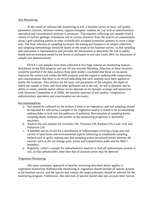### Soil Monitoring

At the outset of radionuclide monitoring in soil, a baseline survey in basic soil quality parameters (texture, moisture content, organic/inorganic content, etc.) as well as radiochemistry speciation and concentration analyses is necessary. This requires collecting soil samples from a variety of surface geologic formations and at various distances from the sources of contaminants using a grid sampling pattern or other scientifically accepted systematic patterns to cover a large area. The final selection of sampling locations; the timing and frequency of sample collection; and sampling methodology should be based on the result of the baseline survey, so that sampling and assessment is representative and provides the information to determine the risk to public health and environment posed by the levels of pollutants in soil (see Lenth 2001 for discussion of sample size determination).

DUSA's soil samples have been collected at five high volume air monitoring stations distributed on the Mill property and one off-site towards Blanding. Selection of these locations would be justified if the data analyses from pilot studies concluded that those six locations represent the surface soil within the Mill property with the regard to radionuclide composition and concentrations. But there is no record indicating that such analyses have been applied to justify the locations. Also unclear are the basic soil parameters of the samples, the depth of where the sample is from, and what other pollutants are in the soil. As soil is dynamic and its ability to retain, remedy and/or release toxins depends on its dynamic ecology and interaction with elements (Tamponnet et al 2008), the baseline analyses of soil quality, composition, radiochemistry speciation and concentration are necessary.

## Recommendations

- a. Soil should be collected on the surface if there is no vegetation, and soil sampling should be repeated for sub-surface samples if the vegetation nearby is found to be accumulating radionuclides to look into the pathways of pollution. Reevaluation of sampling points, sampling depth, methods and number as the monitoring progresses is absolutely necessary.
- b. Analyze the soil samples for Uranium-238, Thorium-230, Radium-226, Lead -210, and Polonium-210.
- c. A baseline survey of soil for a distribution of radioisotopes covering a large area and variety of land forms and environmental aspects following an established sampling method such as grids, making sure that sampling points are placed evenly between the sources, such as the ore storage pads, stacks and transportation paths and the Mill's boundary.
- d. Regularly, collect a sample for radiochemistry analysis to find *all* radioisotopes present in soil, so that radionuclides other than that of uranium series may be detected.

## Vegetation Monitoring

The same systematic approach in baseline surveying described above applies to vegetation monitoring. Radionuclide monitoring in vegetation should include all species present at the baseline survey, and the species that contain the target pollutants should be selected for the monitoring program. Futhermore, this selection of species should take into account other factors,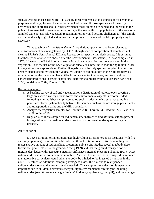such as whether those species are: (1) used by local residents as food sources or for ceremonial purposes, and/or (2) foraged by small or large herbivores. If those species are foraged by herbivores, the approach should consider whether those animals are hunted and ingested by the public. Also essential to vegetation monitoring is the availability of populations. If the area to be sampled were not densely vegetated, repeat monitoring would become challenging. If the sample area is not densely vegetated, extending the sampling area outside of the Mill property may be necessary.

Three sagebrush (*Artemisia tridentata*) populations appear to have been selected to monitor radionuclides in vegetation by DUSA, though species composition of samples is not clear as DUSA's Semi-Annual Effluent Reports do not specify sampled species. It is assumed that those populations were chosen after the Environmental Assessment (EA) was completed in 1978. However, the EA did not analyze radionuclide composition and concentration in the vegetation. Thus the use of the EA's vegetation survey as a baseline in monitoring radionuclides in vegetation is not appropriate. Further, if sagebrush is the only species sampled, it would be grossly inadequate to represent the vegetative uptake of radionuclides in the Mill property, as accumulation of the metals in plants differ from one species to another, and so would the consequent predictions to assess ecotoxicins' pathways to higher trophic levels (see Saric et al 1995, Soudek et al 2004, Thomas 1997).

#### Recommendations

- a. A baseline survey of soil and vegetation for a distribution of radioisotopes covering a large area with a variety of land forms and environmental aspects is recommended following an established sampling method such as grids, making sure that sampling points are placed systematically between the sources, such as the ore storage pads, stacks and transportation paths and the Mill's boundary.
- b. Analyze the vegetation samples for Uranium-238, Thorium-230, Radium-226, Lead-210, and Polonium-210.
- c. Regularly, collect a sample for radiochemistry analyses to find *all* radioisotopes present in vegetation, so that radionuclides other than that of uranium decay series may be detected.

## Air Monitoring

DUSA's air monitoring program uses high volume air samplers at six locations (with five currently operating). It is questionable whether these locations are effectively sampling the representative amount of radionuclides present in ambient air. Studies reveal that body dose factors are greater closer to the ground (Arberg 1989) and that the ground resuspension of fugitive dust laden with radioactive materials influences internal exposure (Thomas 1997). Most radionuclides end up in soil and remain mobile. As wind, hooves, or shoes resuspend them in air the radioactive particulates could adhere to body, be inhaled, or be ingested by anyone in the zone. Therefore, an additional sampling strategy to assess the risk due to resuspended radionuclides closer to the ground level is needed. This sampling consideration is especially important due to children's elevated susceptibility to environmental carcinogens including radionuclides (see http://www.epa.gov/ttn/atw/childrens\_supplement\_final.pdf), and the younger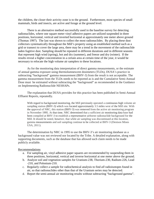the children, the closer their activity zone is to the ground. Furthermore, most species of small mammals, birds and insects, are active and forage at the ground level.

There is an alternative method successfully used in the baseline survey for detecting radionuclides, where one square meter vinyl adhesive papers are utilized suspended in three positions, horizontal, vertical and inverted horizontal at approximately one meter above ground (Thomas 1997). The last was shown to collect the most radionuclides. By placing these dust collectors systematically throughout the Mill's property using an established method such as a grid or transect to cover the large area, there may be a trend in the movement of the radionuclide laden fugitive dust. Sampling should be repeated in different durations and in different seasons that represent high wind (spring), hot and dry (summer), and freeze and dry (winter). If the results reveal a higher concentration in a certain area at certain time of the year, it would be necessary to relocate the high volume air samplers to these locations.

As for the monitoring data interpretation of direct gamma measurements, or the estimate of annual gamma exposure using thermolumnescent dosimeters (TLDs), DUSA's practice in subtracting "background" gamma measurement (BHV-3) from the result is not acceptable. The gamma measurement from the TLDs needs to be reported as is and the Cumulative Semi-Annual Dose must be estimated without subtracting the "background" as recommended in the Guidance on Implementing Radionuclide NESHAPs.

The explanation that DUSA provides for this practice has been published in Semi-Annual Effluent Reports, repeatedly.

With regard to background monitoring, the Mill previously operated a continuous high volume air sampling station (BHV-3) which was located approximately 3.5 miles west of the Mill site. With the approval of NRC, this station (BHV-3) was removed from the active air monitoring program in November 1995. At that time, NRC determined that a sufficient air monitoring data base had been compiled at BHV-3 to establish a representative airborne radionuclide background for the Mill. It should be noted, however, that while air sampling was discontinued at this location, gamma measurements and soil sampling continue to be collected at BHV-3 (Denison Mines USA, 2011).

The determination by NRC in 1995 to use the BHV-3's air monitoring database as a background value was not reviewed nor located by the Tribe. A detailed explanation, along with supporting documents, such as the database that has allowed such claim needs to be made publicly available.

#### Recommendations

- a. For sampling air, vinyl adhesive paper squares are recommended by suspending them in three positions, horizontal, vertical and inverse horizontal at one meter above the ground.
- b. Analyze soil and vegetation samples for Uranium-238, Thorium-230, Radium-226, Lead -210, and Polonium-210.
- c. Regularly collect a sample for radiochemical analysis to find *all* radioisotopes found in air, so that radionuclides other than that of the Uranium series may be detected.
- d. Report the semi-annual air monitoring results without subtracting "background gamma".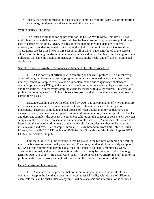e. Justify the reason for using the past database compiled from the BHV-3's air monitoring as a background gamma values along with the database.

### Water Quality Monitoring

The water quality monitoring program for the DUSA White Mesa Uranium Mill has multiple systematic deficiencies. These deficiencies have resulted in groundwater pollution and lack of corrective action by DUSA as a result of the manner in which data are collected, assessed, and provided to regulators, including the Utah Division of Radiation Control (DRC). These issues are described here in three sections, all of which have contributed to the current situation of multiple groundwater contaminant plumes and the probability of increasing trends in pollutants that have the potential to negatively impact public health and off-site environmental conditions.

#### Sample Collection, Analysis Protocols, and Standard Operating Procedures

DUSA has consistent difficulty with sampling and analysis protocols. In almost every aspect of the groundwater monitoring program, samples are collected in a manner that causes non-representative samples to be taken; cross-contamination due to ignorance of standard operating procedures (SOPs); and a general lack of continuity in water quality monitoring staff and their abilities. Almost every sampling event has issues with quality control. This type of problem is not unique to DUSA, but it is **very unique** that their corrective actions never seem to correct their issues.

Misunderstanding of SOPs is often cited by DUSA as an explanation of why samples are misrepresentative and cross-contaminated. SOPs are inherently meant to be simple to understand. There are some fundamental aspects of water quality monitoring that have not changed in many years—the concept of equipment decontamination; the concept of field blanks and duplicate samples; the concept of equipment calibration; the concept of consistency between sample events to produce representative and comparable data. DUSA and some of its staff have been doing this type of work at many of the same wells for decades, yet they make the same mistakes over and over. [See example, Internal DRC Memorandum from Phil Goble to Loren Morten, January 19, 2010 RE: review of 2009 Routine Groundwater Monitoring Reports GDP UG370004, Section 8.0, p. 8-9].

One main issue with this situation is that DUSA is in the business of mining and milling, not in the business of water quality monitoring. They do it, but they do it reluctantly and poorly. DUSA has not committed to paying a qualified individual to do quality monitoring work. Training is minimal, and employee retention is difficult. It may be more practical in the long term for DUSA to simply hire actual water quality (or comprehensive environmental) monitoring professionals to do the work and not task staff with other production-oriented duties.

#### Data Analysis and Interpretation

DUSA operates on the premise that pollution in the ground is not the result of their operations, despite the fact that it operates a large industrial facility with dozens of different chemicals that can be mishandled at any time. All data analysis and interpretation is assumes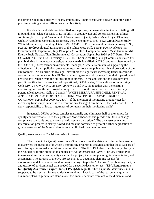this premise, making objectivity nearly impossible. Their consultants operate under the same premise, creating similar difficulties with objectivity.

For decades, chloride was identified as the primary, conservative indicator of tailing cell impoundment leakage because of its mobility in groundwater and concentrations in tailings solutions [Letter Report Assessment of Groundwater Quality White Mesa Project Blanding , Utah, D'Appolonia Consulting Engineers, Inc., September 9, 1981, pp.2; Groundwater Study White Mesa Facility Blanding, Utah, UMETCO/PEEL Environmental Services February 1993, pp.5-22; Hydrogeological Evaluation of the White Mesa Mill, Energy Fuels Nuclear/Titan Environmental Corporation, July 1994, pp.23; Points of Compliance White Mesa Uranium Mill, Energy Fuels Nuclear/Titan Environmental Corporation, September 1994, p.6-7; Permit No. UGW3700A4, Utah DRC, February 15, 2011]. The Nuclear Regulatory Commission stated this plainly during its regulatory oversight, it was clearly identified by DRC, and was often touted by the DUSA's (IUC's) former environmental manager, Michelle Rehmann, as supporting the effectiveness of their pollution prevention measures to ensure public health and protection of the environment. No chloride, no leakage. Now there are significant increasing trends in chloride concentrations in the water, but DUSA is deflecting responsibility away from their operation and denying any leakage from the tailings impoundments. In the application for a groundwater permit modification to make Cell 4A operational, DUSA states, "The addition of monitoring wells MW-24 MW-27 MW-28 MW-29 MW-30 and MW-31 together with the existing monitoring wells at the site provides comprehensive monitoring network to determine any potential leakage from Cells 1, 2 and 3." [WHITE MESA URANIUM MILL RENEWAL APPLICATION STATE OF UTAH GROUND WATER DISCHARGE PERMIT No UGW370004 September 2009, (DUSA)]. If the intention of monitoring groundwater for increasing trends in pollutants is to determine any leakage from the cells, then why does DUSA deny responsibility of increasing trends of pollutants in their monitoring wells?

In general, DUSA collects samples marginally and eliminates half of the sample for quality control reasons. Then they postulate "New Theories" and plead with DRC to change compliance standards and to exercise "enforcement discretion." The data assessment and interpretation process is clearly flawed and must be corrected to prevent further degradation of groundwater on White Mesa and to protect public health and environment.

#### Quality Assurance and Decision-making Processes

The concept of a *Quality Assurance Plan* is to ensure that data are collected in a manner that answers the questions for which a monitoring program is designed and that those data are of sufficient quality to make decisions based on them. The U.S. EPA describes this very clearly in their guidance for the preparation and use of *Quality Assurance Plans*: "The QA Project Plan integrates all technical and quality aspects of a project, including planning, implementation, and assessment. The purpose of the QA Project Plan is to document planning results for environmental data operations and to provide a project-specific "blueprint" for obtaining the type and quality of environmental data needed for a specific decision or use. [**EPA Requirements for Quality Assurance Project Plans, EPA QA/R-5, p. 1]**. Thus a *Quality Assurance Plan* is supposed to be a system for sound decision-making. That is part of the reason why quality assurance plans in general are stand-alone documents, separate from actual field manuals and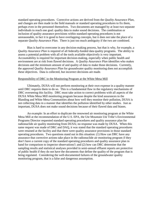standard operating procedures. Corrective actions are derived from the *Quality Assurance Plan*, and changes are then made in the field manuals or standard operating procedures to fix them, perhaps even in the personnel themselves. Two documents are managed by at least two separate individuals to reach one goal: quality data to make sound decisions. The combination or inclusion of quality assurance provisions within standard operating procedures is not unreasonable, in fact it is good to have overlapping concepts, but it does not take the place of a separate *Quality Assurance Plan*. There is just too much ambiguity if the two are combined.

Bias is hard to overcome in any decision-making process, but that is why, for example, a *Quality Assurance Plan* is required of all federally-funded data quality programs. The ability to assess a potential problem with all of the tools available objectively is very important. Accountability is required for important decision-making, especially when public health and environment are at risk from flawed decisions. A *Quality Assurance Plan* identifies who makes decisions and the minimum amount of and quality of data to make those decisions. Currently, the approved *Quality Assurance Plan* for groundwater quality monitoring does not accomplish these objectives. Data is collected, but incorrect decisions are made.

#### Responsibility of DRC in the Monitoring Program at the White Mesa Mill

Ultimately, DUSA will not perform monitoring at their own expense in a quality manner until DRC requires them to do so. This is a fundamental flaw in the regulatory mechanisms of DRC overseeing this facility. DRC must take action to correct problems with all aspects of the DUSA White Mesa Mill monitoring program because despite the kind assurances to the Blanding and White Mesa Communities about how well they monitor their pollution, DUSA is not collecting data in a manner that identifies the pollution identified by other studies. Just as important, DUSA does not make sound decisions because of their flawed data and biases.

An example: In an effort to duplicate the renowned air monitoring program at the White Mesa Mill at the recommendation of the U.S. EPA, the Ute Mountain Ute Tribe's Environmental Programs Director requested standard operating procedures and quality assurance plan for radionuclide air quality monitoring from DUSA; no response was made by DUSA. When this same request was made of DRC and DAQ, it was stated that the standard operating procedures were retained at the facility and that there were quality assurance provisions in those standard operating procedures. Two questions stand out in this situation: (1) How can DRC have any assurance that corrective actions take place in the radionuclide air monitoring program if they don't have a current copy of the standard operating procedures and quality assurance plan in hand for comparison to inspector observations?; and (2) how can DRC determine that the sampling results and statistical analyses provided in semi-annual effluent reports are protective of public health if they do not have the documents that define the quality of the program that is being regulated. Considering the well-documented failures of the groundwater quality monitoring program, that is a false and dangerous assumption.